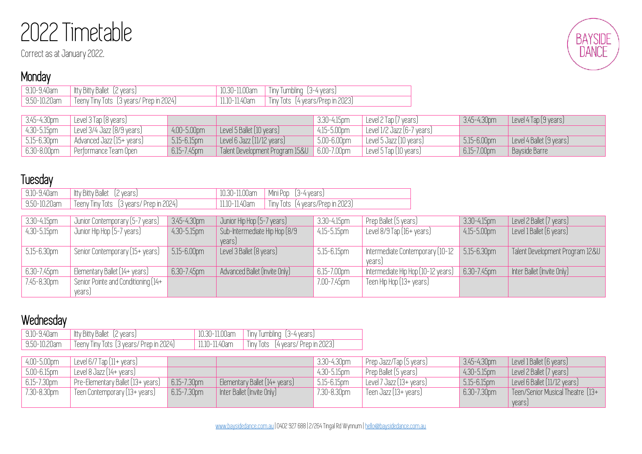# 2022 Timetable

Correct as at January 2022.

## **Monday**

| 9.10-9.40am  | Itty Bitty Ballet [2 years]             | 10.30-11.00am | $\sqrt{$ Tiny Tumbling $(3-4 \text{ years})$ |
|--------------|-----------------------------------------|---------------|----------------------------------------------|
| 9.50-10.20am | Teeny Tiny Tots 〔3 years/ Prep in 2024〕 | 11.10-11.40am | Tiny Tots (4 years/Prep in 2023)             |

| $3.45 - 4.30$ pm | Level $3$ Tap $[8$ years)               |                  |                                               | 3.30-4.15pm      | $\vert$ Level 2 Tap (7 years)            | 3.45-4.30pm      | Level 4 Tap $(9 \text{ years})$ |
|------------------|-----------------------------------------|------------------|-----------------------------------------------|------------------|------------------------------------------|------------------|---------------------------------|
| 4.30-5.15pm      | Level $3/4$ Jazz $(8/9 \,\text{years})$ | $ $ 4.00-5.00pm  | Level 5 Ballet $[10 \text{ years}]$           | 4.15-5.00pm      | Level 1/2 Jazz (6-7 years)               |                  |                                 |
| $5.15 - 6.30$ pm | Advanced Jazz (15+ years)               | $5.15 - 6.15$ pm | Level 6 Jazz $[11/12 \text{ years}]$          | $5.00 - 6.00$ pm | Level 5 Jazz (10 years)                  | $5.15 - 6.00$ pm | Level 4 Ballet (9 years)        |
| $6.30 - 8.00$ pm | Performance Team Open                   | $6.15 - 7.45$ pm | Talent Development Program 15&U   6.00-7.00pm |                  | $\vert$ Level 5 Tap $(10 \text{ years})$ | 6.15-7.00pm      | Bayside Barre                   |

## **Tuesday**

| $'$ 9.10-9.40am | I ltty Bitty Ballet $(2 \text{ years})$                                  | 10.30-11.00am | $\blacksquare$ Mini Pop $\lbrack$ 3-4 years)  |
|-----------------|--------------------------------------------------------------------------|---------------|-----------------------------------------------|
|                 | $\mid$ 9.50-10.20am $\mid$ Teeny Tiny Tots $\mid$ 3 years/ Prep in 2024) | 11.10-11.40am | $\mid$ Tiny Tots $\mid$ 4 years/Prep in 2023) |

| 3.30-4.15pm | Junior Contemporary (5-7 years)     | 3.45-4.30pm      | Junior Hip Hop (5-7 years)    | 3.30-4.15pm      | Prep Ballet (5 years)                | $3.30 - 4.15$ pm | Level 2 Ballet (7 years)        |
|-------------|-------------------------------------|------------------|-------------------------------|------------------|--------------------------------------|------------------|---------------------------------|
| 4.30-5.15pm | Junior Hip Hop (5-7 years)          | $4.30 - 5.15$ pm | Sub-Intermediate Hip Hop (8/9 | $4.15 - 5.15$ pm | Level $8/9$ Tap $[16+ \text{years}]$ | $4.15 - 5.00$ pm | Level 1 Ballet (6 years)        |
|             |                                     |                  | years)                        |                  |                                      |                  |                                 |
| 5.15-6.30pm | Senior Contemporary (15+ years)     | $5.15 - 6.00$ pm | Level 3 Ballet (8 years)      | $5.15 - 6.15$ pm | Intermediate Contemporary (10-12     | $5.15 - 6.30$ pm | Talent Development Program 12&U |
|             |                                     |                  |                               |                  | vears                                |                  |                                 |
| 6.30-7.45pm | Elementary Ballet (14+ years)       | $6.30 - 7.45$ pm | Advanced Ballet (Invite Only) | 6.15-7.00pm      | Intermediate Hip Hop (10-12 years)   | $6.30 - 7.45$ pm | Inter Ballet (Invite Only)      |
| 7.45-8.30pm | Senior Pointe and Conditioning (14+ |                  |                               | 7.00-7.45pm      | Teen Hip Hop (13+ years)             |                  |                                 |
|             | vears)                              |                  |                               |                  |                                      |                  |                                 |

# **Wednesday**

| 9.10-9.40am  | Itty Bitty Ballet<br>IZ vearsl          | 10.30-11.00am          | Tiny tumbling 13-4 years t                            |
|--------------|-----------------------------------------|------------------------|-------------------------------------------------------|
| 9.50-10.20am | Teeny Tiny Tots (3 years/ Prep in 2024) | $1.10 - 17$<br>11.40am | $(4 \text{ years}/\text{Prep in } 2023)$<br>linv lots |

| 4.00-5.00pm | Level $6/7$ Tap $[11 + \text{years}]$ |                  |                                         | 3.30-4.30pm               | $\vert$ Prep Jazz/Tap $(5 \text{ years})$ | 3.45-4.30pm      | $\vert$ Level 1 Ballet $(6 \text{ years})$  |
|-------------|---------------------------------------|------------------|-----------------------------------------|---------------------------|-------------------------------------------|------------------|---------------------------------------------|
| 5.00-6.15pm | Level 8 Jazz (14+ years)              |                  |                                         | $4.30 - 5.15$ pm          | $\vert$ Prep Ballet $(5 \text{ years})$   | $4.30 - 5.15$ pm | Level 2 Ballet $(7 \text{ years})$          |
| 6.15-7.30pm | Pre-Elementary Ballet (13+ years)     | $6.15 - 7.30$ pm | Elementary Ballet $[14 + \text{years}]$ | $\frac{1}{1}$ 5.15-6.15pm | $\vert$ Level 7 Jazz (13+ years)          | $5.15 - 6.15$ pm | $\vert$ Level 6 Ballet $\vert$ 11/12 years) |
| 7.30-8.30pm | Teen Contemporary (13+ years)         | $6.15 - 7.30$ pm | Inter Ballet (Invite Only)              | 7.30-8.30pm               | $\frac{1}{2}$ Teen Jazz (13+ years)       | 6.30-7.30pm      | Feen/Senior Musical Theatre (13+            |
|             |                                       |                  |                                         |                           |                                           |                  | years                                       |